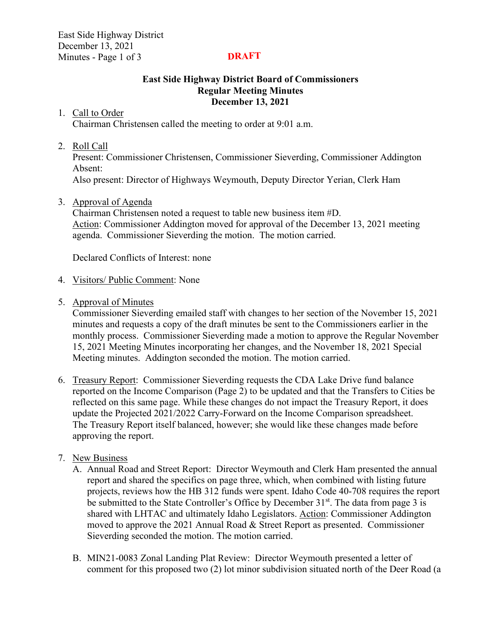East Side Highway District December 13, 2021 Minutes - Page 1 of 3

### **DRAFT**

### **East Side Highway District Board of Commissioners Regular Meeting Minutes December 13, 2021**

### 1. Call to Order

Chairman Christensen called the meeting to order at 9:01 a.m.

## 2. Roll Call

Present: Commissioner Christensen, Commissioner Sieverding, Commissioner Addington Absent:

Also present: Director of Highways Weymouth, Deputy Director Yerian, Clerk Ham

# 3. Approval of Agenda

Chairman Christensen noted a request to table new business item #D. Action: Commissioner Addington moved for approval of the December 13, 2021 meeting agenda. Commissioner Sieverding the motion. The motion carried.

Declared Conflicts of Interest: none

### 4. Visitors/ Public Comment: None

5. Approval of Minutes

Commissioner Sieverding emailed staff with changes to her section of the November 15, 2021 minutes and requests a copy of the draft minutes be sent to the Commissioners earlier in the monthly process. Commissioner Sieverding made a motion to approve the Regular November 15, 2021 Meeting Minutes incorporating her changes, and the November 18, 2021 Special Meeting minutes. Addington seconded the motion. The motion carried.

6. Treasury Report: Commissioner Sieverding requests the CDA Lake Drive fund balance reported on the Income Comparison (Page 2) to be updated and that the Transfers to Cities be reflected on this same page. While these changes do not impact the Treasury Report, it does update the Projected 2021/2022 Carry-Forward on the Income Comparison spreadsheet. The Treasury Report itself balanced, however; she would like these changes made before approving the report.

# 7. New Business

- A. Annual Road and Street Report: Director Weymouth and Clerk Ham presented the annual report and shared the specifics on page three, which, when combined with listing future projects, reviews how the HB 312 funds were spent. Idaho Code 40-708 requires the report be submitted to the State Controller's Office by December  $31<sup>st</sup>$ . The data from page 3 is shared with LHTAC and ultimately Idaho Legislators. Action: Commissioner Addington moved to approve the 2021 Annual Road & Street Report as presented. Commissioner Sieverding seconded the motion. The motion carried.
- B. MIN21-0083 Zonal Landing Plat Review: Director Weymouth presented a letter of comment for this proposed two (2) lot minor subdivision situated north of the Deer Road (a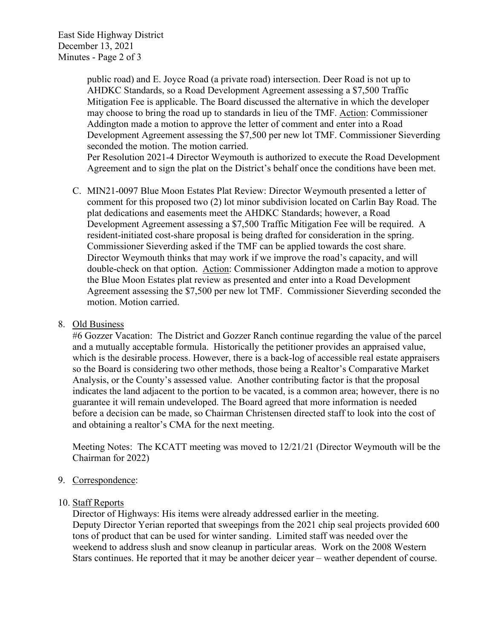East Side Highway District December 13, 2021 Minutes - Page 2 of 3

> public road) and E. Joyce Road (a private road) intersection. Deer Road is not up to AHDKC Standards, so a Road Development Agreement assessing a \$7,500 Traffic Mitigation Fee is applicable. The Board discussed the alternative in which the developer may choose to bring the road up to standards in lieu of the TMF. Action: Commissioner Addington made a motion to approve the letter of comment and enter into a Road Development Agreement assessing the \$7,500 per new lot TMF. Commissioner Sieverding seconded the motion. The motion carried. Per Resolution 2021-4 Director Weymouth is authorized to execute the Road Development Agreement and to sign the plat on the District's behalf once the conditions have been met.

C. MIN21-0097 Blue Moon Estates Plat Review: Director Weymouth presented a letter of comment for this proposed two (2) lot minor subdivision located on Carlin Bay Road. The plat dedications and easements meet the AHDKC Standards; however, a Road Development Agreement assessing a \$7,500 Traffic Mitigation Fee will be required. A resident-initiated cost-share proposal is being drafted for consideration in the spring. Commissioner Sieverding asked if the TMF can be applied towards the cost share. Director Weymouth thinks that may work if we improve the road's capacity, and will double-check on that option. Action: Commissioner Addington made a motion to approve the Blue Moon Estates plat review as presented and enter into a Road Development Agreement assessing the \$7,500 per new lot TMF. Commissioner Sieverding seconded the motion. Motion carried.

## 8. Old Business

#6 Gozzer Vacation: The District and Gozzer Ranch continue regarding the value of the parcel and a mutually acceptable formula. Historically the petitioner provides an appraised value, which is the desirable process. However, there is a back-log of accessible real estate appraisers so the Board is considering two other methods, those being a Realtor's Comparative Market Analysis, or the County's assessed value. Another contributing factor is that the proposal indicates the land adjacent to the portion to be vacated, is a common area; however, there is no guarantee it will remain undeveloped. The Board agreed that more information is needed before a decision can be made, so Chairman Christensen directed staff to look into the cost of and obtaining a realtor's CMA for the next meeting.

Meeting Notes: The KCATT meeting was moved to 12/21/21 (Director Weymouth will be the Chairman for 2022)

### 9. Correspondence:

### 10. Staff Reports

Director of Highways: His items were already addressed earlier in the meeting. Deputy Director Yerian reported that sweepings from the 2021 chip seal projects provided 600 tons of product that can be used for winter sanding. Limited staff was needed over the weekend to address slush and snow cleanup in particular areas. Work on the 2008 Western Stars continues. He reported that it may be another deicer year – weather dependent of course.